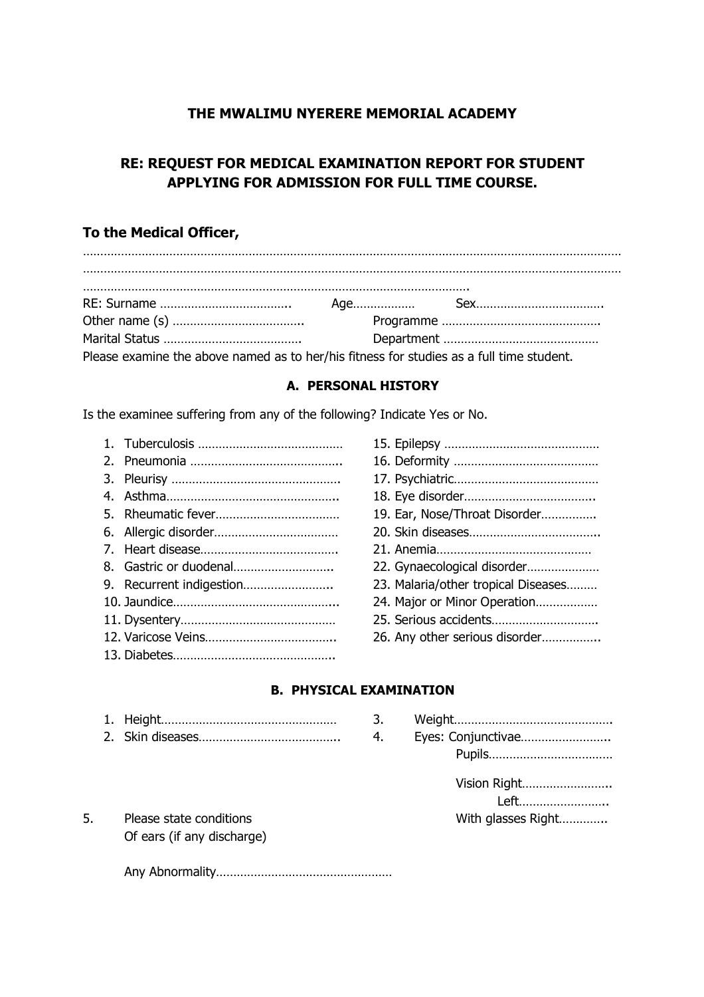## **THE MWALIMU NYERERE MEMORIAL ACADEMY**

# **RE: REQUEST FOR MEDICAL EXAMINATION REPORT FOR STUDENT APPLYING FOR ADMISSION FOR FULL TIME COURSE.**

## **To the Medical Officer,**

| Please examine the above named as to her/his fitness for studies as a full time student. |  |  |  |
|------------------------------------------------------------------------------------------|--|--|--|

#### **A. PERSONAL HISTORY**

Is the examinee suffering from any of the following? Indicate Yes or No.

|                        | 19. Ear, Nose/Throat Disorder       |
|------------------------|-------------------------------------|
|                        |                                     |
|                        |                                     |
| 8. Gastric or duodenal | 22. Gynaecological disorder         |
|                        | 23. Malaria/other tropical Diseases |
|                        | 24. Major or Minor Operation        |
|                        |                                     |
|                        | 26. Any other serious disorder      |
|                        |                                     |

| 19. Ear, Nose/Throat Disorder       |
|-------------------------------------|
|                                     |
|                                     |
| 22. Gynaecological disorder         |
| 23. Malaria/other tropical Diseases |
| 24. Major or Minor Operation        |
|                                     |
| 26. Any other serious disorder      |

### **B. PHYSICAL EXAMINATION**

- 1. Height…………………………………………… 3. Weight………………………………………. 2. Skin diseases………………………………….. 4. Eyes: Conjunctivae……………………..
- Pupils……………………………… Vision Right…………………….. Left…………………….. 5. Please state conditions example and the Mith glasses Right…………..
- Of ears (if any discharge)

Any Abnormality……………………………………………